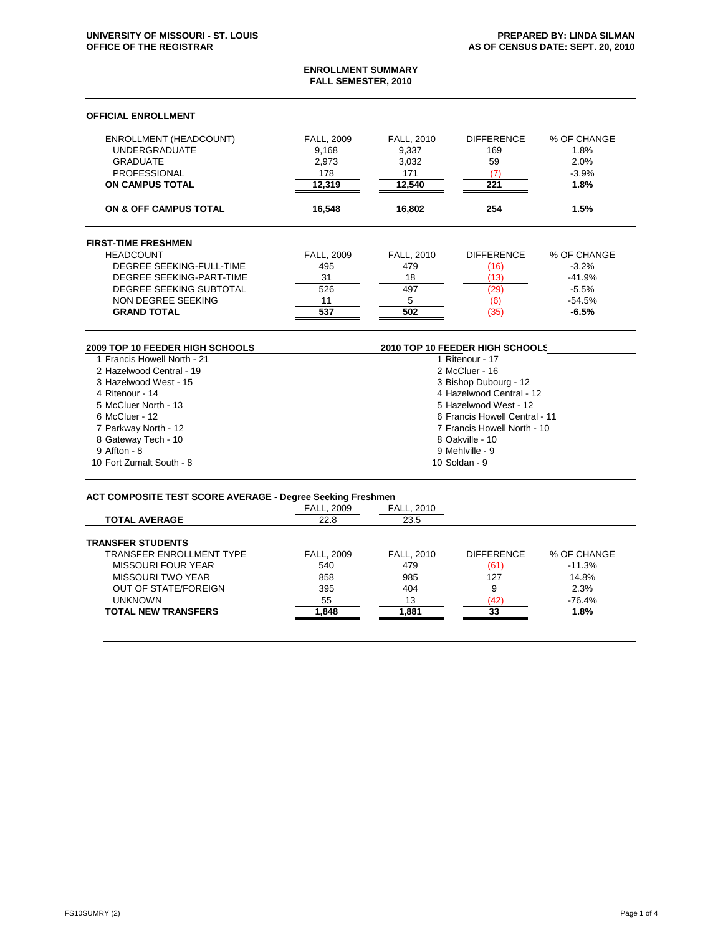#### **ENROLLMENT SUMMARY FALL SEMESTER, 2010**

# **OFFICIAL ENROLLMENT**

| <b>ENROLLMENT (HEADCOUNT)</b><br><b>UNDERGRADUATE</b><br><b>GRADUATE</b><br><b>PROFESSIONAL</b><br><b>ON CAMPUS TOTAL</b> | <b>FALL, 2009</b><br>9.168<br>2.973<br>178<br>12,319 | <b>FALL, 2010</b><br>9.337<br>3,032<br>171<br>12,540 | <b>DIFFERENCE</b><br>169<br>59<br>(7)<br>221 | % OF CHANGE<br>1.8%<br>2.0%<br>$-3.9%$<br>1.8% |
|---------------------------------------------------------------------------------------------------------------------------|------------------------------------------------------|------------------------------------------------------|----------------------------------------------|------------------------------------------------|
| <b>ON &amp; OFF CAMPUS TOTAL</b>                                                                                          | 16.548                                               | 16.802                                               | 254                                          | 1.5%                                           |
| <b>FIRST-TIME FRESHMEN</b>                                                                                                |                                                      |                                                      |                                              |                                                |
| <b>HEADCOUNT</b>                                                                                                          | <b>FALL, 2009</b>                                    | FALL, 2010                                           | <b>DIFFERENCE</b>                            | % OF CHANGE                                    |
| DEGREE SEEKING-FULL-TIME                                                                                                  | 495                                                  | 479                                                  | (16)                                         | $-3.2%$                                        |
| DEGREE SEEKING-PART-TIME                                                                                                  | 31                                                   | 18                                                   | (13)                                         | $-41.9%$                                       |
| DEGREE SEEKING SUBTOTAL                                                                                                   | 526                                                  | 497                                                  | (29)                                         | $-5.5%$                                        |
| NON DEGREE SEEKING                                                                                                        | 11                                                   | 5                                                    | (6)                                          | $-54.5%$                                       |
| <b>GRAND TOTAL</b>                                                                                                        | 537                                                  | 502                                                  | (35)                                         | $-6.5%$                                        |

| 2009 TOP 10 FEEDER HIGH SCHOOLS | 2010 TOP 10 FEEDER HIGH SCHOOLS |  |
|---------------------------------|---------------------------------|--|
| 1 Francis Howell North - 21     | 1 Ritenour - 17                 |  |
| 2 Hazelwood Central - 19        | 2 McCluer - 16                  |  |
| 3 Hazelwood West - 15           | 3 Bishop Dubourg - 12           |  |
| 4 Ritenour - 14                 | 4 Hazelwood Central - 12        |  |
| 5 McCluer North - 13            | 5 Hazelwood West - 12           |  |
| 6 McCluer - 12                  | 6 Francis Howell Central - 11   |  |
| 7 Parkway North - 12            | 7 Francis Howell North - 10     |  |
| 8 Gateway Tech - 10             | 8 Oakville - 10                 |  |
| 9 Affton - 8                    | 9 Mehlville - 9                 |  |
| 10 Fort Zumalt South - 8        | 10 Soldan - 9                   |  |

# **ACT COMPOSITE TEST SCORE AVERAGE - Degree Seeking Freshmen**

|                                 | <b>FALL. 2009</b> | <b>FALL, 2010</b> |                   |             |
|---------------------------------|-------------------|-------------------|-------------------|-------------|
| <b>TOTAL AVERAGE</b>            | 22.8              | 23.5              |                   |             |
| <b>TRANSFER STUDENTS</b>        |                   |                   |                   |             |
| <b>TRANSFER ENROLLMENT TYPE</b> | <b>FALL, 2009</b> | <b>FALL. 2010</b> | <b>DIFFERENCE</b> | % OF CHANGE |
| <b>MISSOURI FOUR YEAR</b>       | 540               | 479               | (61)              | $-11.3%$    |
| <b>MISSOURI TWO YEAR</b>        | 858               | 985               | 127               | 14.8%       |
| <b>OUT OF STATE/FOREIGN</b>     | 395               | 404               | 9                 | 2.3%        |
| <b>UNKNOWN</b>                  | 55                | 13                | (42)              | $-76.4%$    |
| <b>TOTAL NEW TRANSFERS</b>      | 1.848             | 1.881             | 33                | 1.8%        |
|                                 |                   |                   |                   |             |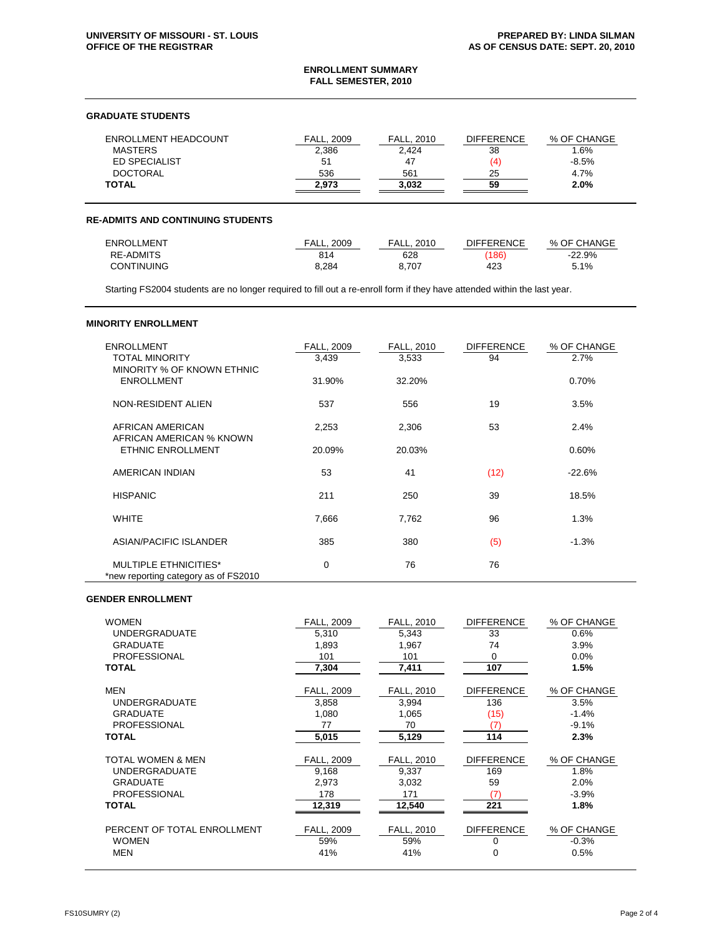#### **ENROLLMENT SUMMARY FALL SEMESTER, 2010**

# **GRADUATE STUDENTS**

| ENROLLMENT HEADCOUNT | <b>FALL, 2009</b> | <b>FALL. 2010</b> | <b>DIFFERENCE</b> | % OF CHANGE |
|----------------------|-------------------|-------------------|-------------------|-------------|
| <b>MASTERS</b>       | 2.386             | 2.424             | 38                | 1.6%        |
| <b>ED SPECIALIST</b> | 51                | 47                | (4)               | $-8.5%$     |
| <b>DOCTORAL</b>      | 536               | 561               | 25                | 4.7%        |
| <b>TOTAL</b>         | 2.973             | 3.032             | 59                | 2.0%        |

#### **RE-ADMITS AND CONTINUING STUDENTS**

| <b>ENROLLMENT</b> | <b>FALL, 2009</b> | <b>FALL, 2010</b> | <b>DIFFERENCE</b> | % OF CHANGE |
|-------------------|-------------------|-------------------|-------------------|-------------|
| <b>RE-ADMITS</b>  | 814               | 628               | (186)             | $-22.9%$    |
| <b>CONTINUING</b> | 8.284             | 8.707             | 423               | 5.1%        |

Starting FS2004 students are no longer required to fill out a re-enroll form if they have attended within the last year.

# **MINORITY ENROLLMENT**

| <b>ENROLLMENT</b><br><b>TOTAL MINORITY</b><br>MINORITY % OF KNOWN ETHNIC | <b>FALL, 2009</b><br>3,439 | <b>FALL, 2010</b><br>3,533 | <b>DIFFERENCE</b><br>94 | % OF CHANGE<br>2.7% |
|--------------------------------------------------------------------------|----------------------------|----------------------------|-------------------------|---------------------|
| <b>ENROLLMENT</b>                                                        | 31.90%                     | 32.20%                     |                         | 0.70%               |
| NON-RESIDENT ALIEN                                                       | 537                        | 556                        | 19                      | 3.5%                |
| AFRICAN AMERICAN<br>AFRICAN AMERICAN % KNOWN                             | 2,253                      | 2,306                      | 53                      | 2.4%                |
| <b>ETHNIC ENROLLMENT</b>                                                 | 20.09%                     | 20.03%                     |                         | 0.60%               |
| AMERICAN INDIAN                                                          | 53                         | 41                         | (12)                    | $-22.6%$            |
| <b>HISPANIC</b>                                                          | 211                        | 250                        | 39                      | 18.5%               |
| <b>WHITE</b>                                                             | 7,666                      | 7,762                      | 96                      | 1.3%                |
| ASIAN/PACIFIC ISLANDER                                                   | 385                        | 380                        | (5)                     | $-1.3%$             |
| <b>MULTIPLE ETHNICITIES*</b><br>*new reporting category as of FS2010     | 0                          | 76                         | 76                      |                     |

#### **GENDER ENROLLMENT**

| <b>WOMEN</b>                | FALL, 2009 | FALL, 2010        | <b>DIFFERENCE</b> | % OF CHANGE |
|-----------------------------|------------|-------------------|-------------------|-------------|
| <b>UNDERGRADUATE</b>        | 5,310      | 5,343             | 33                | 0.6%        |
| <b>GRADUATE</b>             | 1,893      | 1,967             | 74                | 3.9%        |
| <b>PROFESSIONAL</b>         | 101        | 101               | $\Omega$          | $0.0\%$     |
| <b>TOTAL</b>                | 7,304      | 7,411             | 107               | 1.5%        |
| <b>MEN</b>                  | FALL, 2009 | FALL, 2010        | <b>DIFFERENCE</b> | % OF CHANGE |
| <b>UNDERGRADUATE</b>        | 3,858      | 3,994             | 136               | 3.5%        |
| <b>GRADUATE</b>             | 1,080      | 1,065             | (15)              | $-1.4%$     |
| <b>PROFESSIONAL</b>         | 77         | 70                | (7)               | $-9.1%$     |
| <b>TOTAL</b>                | 5,015      | 5,129             | 114               | 2.3%        |
| TOTAL WOMEN & MEN           | FALL, 2009 | FALL, 2010        | <b>DIFFERENCE</b> | % OF CHANGE |
| <b>UNDERGRADUATE</b>        | 9,168      | 9,337             | 169               | 1.8%        |
| <b>GRADUATE</b>             | 2,973      | 3,032             | 59                | 2.0%        |
| <b>PROFESSIONAL</b>         | 178        | 171               | (7)               | $-3.9%$     |
| <b>TOTAL</b>                | 12,319     | 12,540            | 221               | 1.8%        |
| PERCENT OF TOTAL ENROLLMENT | FALL, 2009 | <b>FALL, 2010</b> | <b>DIFFERENCE</b> | % OF CHANGE |
| <b>WOMEN</b>                | 59%        | 59%               | 0                 | $-0.3%$     |
| <b>MEN</b>                  | 41%        | 41%               | $\mathbf 0$       | 0.5%        |